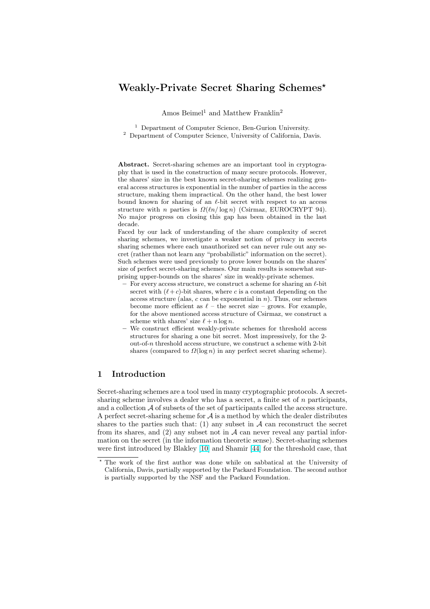# Weakly-Private Secret Sharing Schemes?

Amos Beimel<sup>1</sup> and Matthew Franklin<sup>2</sup>

<sup>1</sup> Department of Computer Science, Ben-Gurion University.

<sup>2</sup> Department of Computer Science, University of California, Davis.

Abstract. Secret-sharing schemes are an important tool in cryptography that is used in the construction of many secure protocols. However, the shares' size in the best known secret-sharing schemes realizing general access structures is exponential in the number of parties in the access structure, making them impractical. On the other hand, the best lower bound known for sharing of an  $\ell$ -bit secret with respect to an access structure with n parties is  $\Omega(\ln/\log n)$  (Csirmaz, EUROCRYPT 94). No major progress on closing this gap has been obtained in the last decade.

Faced by our lack of understanding of the share complexity of secret sharing schemes, we investigate a weaker notion of privacy in secrets sharing schemes where each unauthorized set can never rule out any secret (rather than not learn any "probabilistic" information on the secret). Such schemes were used previously to prove lower bounds on the shares' size of perfect secret-sharing schemes. Our main results is somewhat surprising upper-bounds on the shares' size in weakly-private schemes.

- For every access structure, we construct a scheme for sharing an  $\ell$ -bit secret with  $(\ell+c)$ -bit shares, where c is a constant depending on the access structure (alas,  $c$  can be exponential in  $n$ ). Thus, our schemes become more efficient as  $\ell$  – the secret size – grows. For example, for the above mentioned access structure of Csirmaz, we construct a scheme with shares' size  $\ell + n \log n$ .
- We construct efficient weakly-private schemes for threshold access structures for sharing a one bit secret. Most impressively, for the 2 out-of-n threshold access structure, we construct a scheme with 2-bit shares (compared to  $\Omega(\log n)$  in any perfect secret sharing scheme).

# 1 Introduction

Secret-sharing schemes are a tool used in many cryptographic protocols. A secretsharing scheme involves a dealer who has a secret, a finite set of  $n$  participants, and a collection  $A$  of subsets of the set of participants called the access structure. A perfect secret-sharing scheme for  $\mathcal A$  is a method by which the dealer distributes shares to the parties such that: (1) any subset in  $A$  can reconstruct the secret from its shares, and  $(2)$  any subset not in  $A$  can never reveal any partial information on the secret (in the information theoretic sense). Secret-sharing schemes were first introduced by Blakley [10] and Shamir [44] for the threshold case, that

<sup>?</sup> The work of the first author was done while on sabbatical at the University of California, Davis, partially supported by the Packard Foundation. The second author is partially supported by the NSF and the Packard Foundation.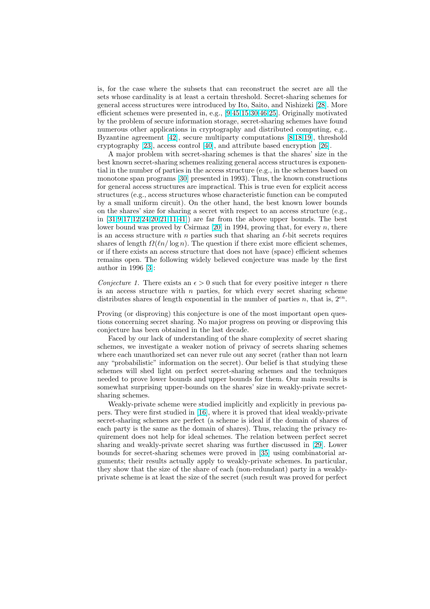is, for the case where the subsets that can reconstruct the secret are all the sets whose cardinality is at least a certain threshold. Secret-sharing schemes for general access structures were introduced by Ito, Saito, and Nishizeki [28]. More efficient schemes were presented in, e.g., [9,45,15,30,46,25]. Originally motivated by the problem of secure information storage, secret-sharing schemes have found numerous other applications in cryptography and distributed computing, e.g., Byzantine agreement [42], secure multiparty computations [8,18,19], [thr](#page-18-0)eshold cryptography [23], access control [40], a[nd](#page-18-0) [att](#page-19-0)[rib](#page-18-0)[ute b](#page-19-0)[ased](#page-18-0) encryption [26].

A major problem with secret-sharing schemes is that the shares' size in the best known secret-sharing schemes realizing general access structures is exponential in the number of p[arti](#page-19-0)es in the access structure (e.g., in th[e schem](#page-18-0)es based on monotone spa[n pr](#page-18-0)ograms [30] pres[ent](#page-19-0)ed in 1993). Thus, the known cons[truc](#page-18-0)tions for general access structures are impractical. This is true even for explicit access structures (e.g., access structures whose characteristic function can be computed by a small uniform circuit). On the other hand, the best known lower bounds on the shares' size for sha[ring](#page-19-0) a secret with respect to an access structure (e.g., in  $[31,9,17,12,24,20,21,11,41]$  are far from the above upper bounds. The best lower bound was proved by Csirmaz  $[20]$  in 1994, proving that, for every n, there is an access structure with  $n$  parties such that sharing an  $\ell$ -bit secrets requires shares of length  $\Omega(\ln/\log n)$ . The question if there exist more efficient schemes, or [if t](#page-19-0)[here exists an access](#page-18-0) [str](#page-19-0)ucture that does not have (space) efficient schemes remains open. The following widely [be](#page-18-0)lieved conjecture was made by the first author in 1996 [3]:

Conjecture 1. There exists an  $\epsilon > 0$  such that for every positive integer n there is an access structure with  $n$  parties, for which every secret sharing scheme distribut[es](#page-17-0) shares of length exponential in the number of parties n, that is,  $2^{\epsilon n}$ .

Proving (or disproving) this conjecture is one of the most important open questions concerning secret sharing. No major progress on proving or disproving this conjecture has been obtained in the last decade.

Faced by our lack of understanding of the share complexity of secret sharing schemes, we investigate a weaker notion of privacy of secrets sharing schemes where each unauthorized set can never rule out any secret (rather than not learn any "probabilistic" information on the secret). Our belief is that studying these schemes will shed light on perfect secret-sharing schemes and the techniques needed to prove lower bounds and upper bounds for them. Our main results is somewhat surprising upper-bounds on the shares' size in weakly-private secretsharing schemes.

Weakly-private scheme were studied implicitly and explicitly in previous papers. They were first studied in [16], where it is proved that ideal weakly-private secret-sharing schemes are perfect (a scheme is ideal if the domain of shares of each party is the same as the domain of shares). Thus, relaxing the privacy requirement does not help for ideal schemes. The relation between perfect secret sharing and weakly-private secr[et](#page-18-0) sharing was further discussed in [29]. Lower bounds for secret-sharing schemes were proved in [35] using combinatorial arguments; their results actually apply to weakly-private schemes. In particular, they show that the size of the share of each (non-redundant) party in a weaklyprivate scheme is at least the size of the secret (such result was proved [for](#page-19-0) perfect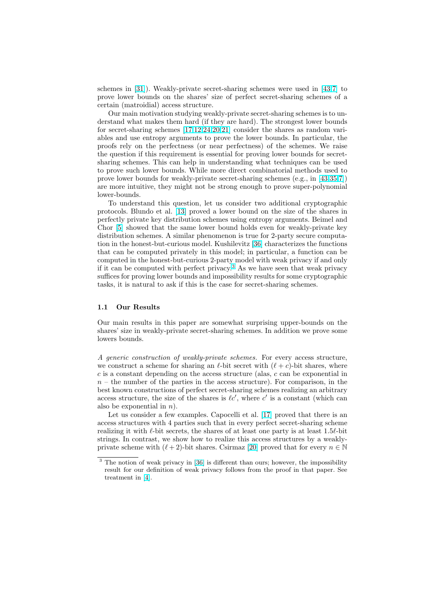schemes in [31]). Weakly-private secret-sharing schemes were used in [43,7] to prove lower bounds on the shares' size of perfect secret-sharing schemes of a certain (matroidial) access structure.

Our main motivation studying weakly-private secret-sharing schemes is to understand w[hat](#page-19-0) makes them hard (if they are hard). The strongest lower [bo](#page-19-0)[un](#page-18-0)ds for secret-sharing schemes [17,12,24,20,21] consider the shares as random variables and use entropy arguments to prove the lower bounds. In particular, the proofs rely on the perfectness (or near perfectness) of the schemes. We raise the question if this requirement is essential for proving lower bounds for secretsharing schemes. This can [help in underst](#page-18-0)anding what techniques can be used to prove such lower bounds. While more direct combinatorial methods used to prove lower bounds for weakly-private secret-sharing schemes (e.g., in [43,35,7]) are more intuitive, they might not be strong enough to prove super-polynomial lower-bounds.

To understand this question, let us consider two additional cryptographic protocols. Blundo et al. [13] proved a lower bound on the size of the [shares](#page-19-0) [in](#page-18-0) perfectly private key distribution schemes using entropy arguments. Beimel and Chor [5] showed that the same lower bound holds even for weakly-private key distribution schemes. A similar phenomenon is true for 2-party secure computation in the honest-but-cu[riou](#page-18-0)s model. Kushilevitz [36] characterizes the functions that can be computed privately in this model; in particular, a function can be comp[ute](#page-18-0)d in the honest-but-curious 2-party model with weak privacy if and only if it can be computed with perfect privacy.<sup>3</sup> As we have seen that weak privacy suffices for proving lower bounds and impossibility [res](#page-19-0)ults for some cryptographic tasks, it is natural to ask if this is the case for secret-sharing schemes.

### 1.1 Our Results

Our main results in this paper are somewhat surprising upper-bounds on the shares' size in weakly-private secret-sharing schemes. In addition we prove some lowers bounds.

A generic construction of weakly-private schemes. For every access structure, we construct a scheme for sharing an  $\ell$ -bit secret with  $(\ell + c)$ -bit shares, where  $c$  is a constant depending on the access structure (alas,  $c$  can be exponential in  $n -$  the number of the parties in the access structure). For comparison, in the best known constructions of perfect secret-sharing schemes realizing an arbitrary access structure, the size of the shares is  $\ell c'$ , where c' is a constant (which can also be exponential in  $n$ ).

Let us consider a few examples. Capocelli et al. [17] proved that there is an access structures with 4 parties such that in every perfect secret-sharing scheme realizing it with  $\ell$ -bit secrets, the shares of at least one party is at least 1.5 $\ell$ -bit strings. In contrast, we show how to realize this access structures by a weaklyprivate scheme with  $(\ell + 2)$ -bit shares. Csirmaz [20] [prov](#page-18-0)ed that for every  $n \in \mathbb{N}$ 

<sup>&</sup>lt;sup>3</sup> The notion of weak privacy in [36] is different than ours; however, the impossibility result for our definition of weak privacy follows from the proof in that paper. See treatment in [4].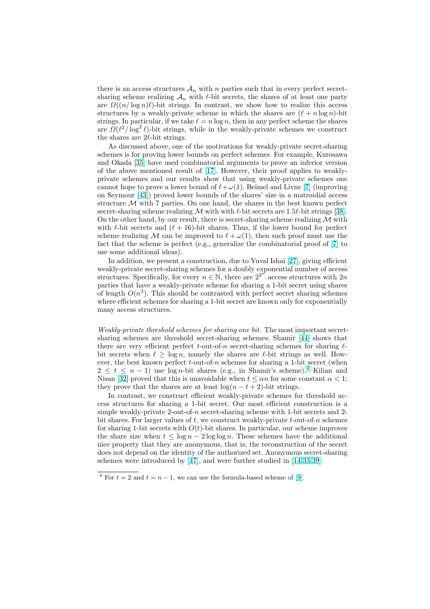there is an access structures  $\mathcal{A}_n$  with n parties such that in every perfect secretsharing scheme realizing  $\mathcal{A}_n$  with  $\ell$ -bit secrets, the shares of at least one party are  $\Omega((n/\log n)\ell)$ -bit strings. In contrast, we show how to realize this access structures by a weakly-private scheme in which the shares are  $(\ell + n \log n)$ -bit strings. In particular, if we take  $\ell = n \log n$ , then in any perfect scheme the shares are  $\tilde{\Omega}(\ell^2/\log^2 \ell)$ -bit strings, while in the weakly-private schemes we construct the shares are  $2\ell$ -bit strings.

As discussed above, one of the motivations for weakly-private secret-sharing schemes is for proving lower bounds on perfect schemes. For example, Kurosawa and Okada [35] have used combinatorial arguments to prove an inferior version of the above mentioned result of [17]. However, their proof applies to weaklyprivate schemes and our results show that using weakly-private schemes one cannot hope to prove a lower bound of  $\ell + \omega(1)$ . Beimel and Livne [7] (improving on Seymour [\[43](#page-19-0)]) proved lower bounds of the shares' size in a matroidial access structure  $M$  with 7 parties. On o[ne h](#page-18-0)and, the shares in the best known perfect secret-sharing scheme realizing M with with  $\ell$ -bit secrets are 1.5 $\ell$ -bit strings [38]. On the other hand, by our result, there is secret-sharing scheme rea[liz](#page-18-0)ing  $\mathcal M$  with with  $\ell$ -bit se[cret](#page-19-0)s and  $(\ell + 16)$ -bit shares. Thus, if the lower bound for perfect scheme realizing M can be improved to  $\ell + \omega(1)$ , then such proof must use the fact that the scheme is perfect (e.g., generalize the combinatorial proof of [[7\] to](#page-19-0) use some additional ideas).

In addition, we present a construction, due to Yuval Ishai [27], giving efficient weakly-private secret-sharing schemes for a doubly exponential number of access structures. Specifically, for every  $n \in \mathbb{N}$  $n \in \mathbb{N}$  $n \in \mathbb{N}$ , there are  $2^{2^{n^*}}$  access structures with  $2n$ parties that have a weakly-private scheme for sharing a 1-bit secret using shares of length  $O(n^3)$ . This should be contrasted with perfect secr[et s](#page-18-0)haring schemes where efficient schemes for sharing a 1-bit secret are known only for exponentially many access structures.

Weakly-private threshold schemes for sharing one bit. The most important secretsharing schemes are threshold secret-sharing schemes. Shamir [44] shows that there are very efficient perfect t-out-of-n secret-sharing schemes for sharing  $\ell$ bit secrets when  $\ell \geq \log n$ , namely the shares are  $\ell$ -bit strings as well. However, the best known perfect  $t$ -out-of-n schemes for sharing a 1-bit secret (when  $2 \leq t \leq n-1$ ) use log *n*-bit shares (e.g., in Shamir's scheme).<sup>4</sup> Kilian and Nisan [32] proved that this is unavoidable when  $t \leq \alpha n$  for some [con](#page-19-0)stant  $\alpha < 1$ ; they prove that the shares are at least  $log(n - t + 2)$ -bit strings.

In contrast, we construct efficient weakly-private schemes for threshold access structures for sharing a 1-bit secret. Our most efficient construction is a simple [we](#page-19-0)akly-private 2-out-of-n secret-sharing scheme with 1-bit secrets and 2bit shares. For larger values of t, we construct weakly-private  $t$ -out-of-n schemes for sharing 1-bit secrets with  $O(t)$ -bit shares. In particular, our scheme improves the share size when  $t \leq \log n - 2 \log \log n$ . These schemes have the additional nice property that they are anonymous, that is, the reconstruction of the secret does not depend on the identity of the authorized set. Anonymous secret-sharing schemes were introduced by [47], and were further studied in [14,33,39].

<sup>&</sup>lt;sup>4</sup> For  $t = 2$  and  $t = n - 1$ , we can use the formula-based scheme of [9].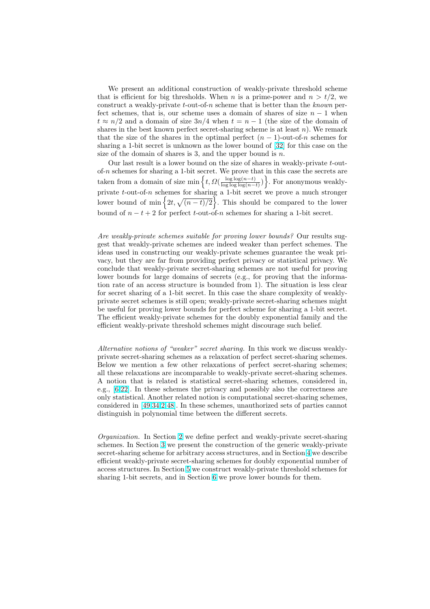We present an additional construction of weakly-private threshold scheme that is efficient for big thresholds. When n is a prime-power and  $n > t/2$ , we construct a weakly-private  $t$ -out-of-n scheme that is better than the known perfect schemes, that is, our scheme uses a domain of shares of size  $n - 1$  when  $t \approx n/2$  and a domain of size  $3n/4$  when  $t = n - 1$  (the size of the domain of shares in the best known perfect secret-sharing scheme is at least  $n$ ). We remark that the size of the shares in the optimal perfect  $(n - 1)$ -out-of-n schemes for sharing a 1-bit secret is unknown as the lower bound of [32] for this case on the size of the domain of shares is 3, and the upper bound is  $n$ .

Our last result is a lower bound on the size of shares in weakly-private t-outof-n schemes for sharing a 1-bit secret. We prove that in this case the secrets are ot-*n* schemes for sharing a 1-bit secret. We prove the taken from a domain of size min  $\left\{t, \Omega(\frac{\log \log (n-t)}{\log \log \log(n-t)})\right\}$  $\frac{\log \log(n-t)}{\log \log \log(n-t)}$  $\frac{1}{\sqrt{2}}$ . [For](#page-19-0) anonymous weaklyprivate t-out-of-n schemes for sharing a 1-bit secret we prove a much stronger<br>lower bound of min  $\{2t, \sqrt{(n-t)/2}\}\)$ . This should be compared to the lower ig . This should be compared to the lower bound of  $n - t + 2$  for perfect t-out-of-n schemes for sharing a 1-bit secret.

Are weakly-private schemes suitable for proving lower bounds? Our results suggest that weakly-private schemes are indeed weaker than perfect schemes. The ideas used in constructing our weakly-private schemes guarantee the weak privacy, but they are far from providing perfect privacy or statistical privacy. We conclude that weakly-private secret-sharing schemes are not useful for proving lower bounds for large domains of secrets (e.g., for proving that the information rate of an access structure is bounded from 1). The situation is less clear for secret sharing of a 1-bit secret. In this case the share complexity of weaklyprivate secret schemes is still open; weakly-private secret-sharing schemes might be useful for proving lower bounds for perfect scheme for sharing a 1-bit secret. The efficient weakly-private schemes for the doubly exponential family and the efficient weakly-private threshold schemes might discourage such belief.

Alternative notions of "weaker" secret sharing. In this work we discuss weaklyprivate secret-sharing schemes as a relaxation of perfect secret-sharing schemes. Below we mention a few other relaxations of perfect secret-sharing schemes; all these relaxations are incomparable to weakly-private secret-sharing schemes. A notion that is related is statistical secret-sharing schemes, considered in, e.g., [6,22]. In these schemes the privacy and possibly also the correctness are only statistical. Another related notion is computational secret-sharing schemes, considered in [49,34,2,48]. In these schemes, unauthorized sets of parties cannot distinguish in polynomial time between the different secrets.

Organization. In Section 2 we define perfect and weakly-private secret-sharing schemes. In S[ection](#page-19-0) [3](#page-17-0) [we](#page-19-0) present the construction of the generic weakly-private secret-sharing scheme for arbitrary access structures, and in Section 4 we describe efficient weakly-private secret-sharing schemes for doubly exponential number of access structures. In Secti[on](#page-5-0) 5 we construct weakly-private threshold schemes for sharing 1-bit secret[s, a](#page-6-0)nd in Section 6 we prove lower bounds for them.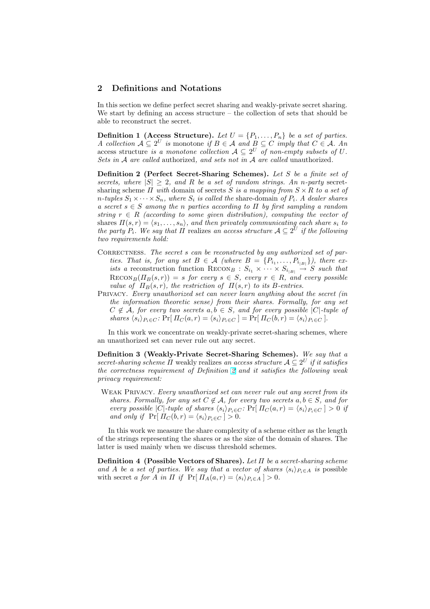# <span id="page-5-0"></span>2 Definitions and Notations

In this section we define perfect secret sharing and weakly-private secret sharing. We start by defining an access structure – the collection of sets that should be able to reconstruct the secret.

**Definition 1 (Access Structure).** Let  $U = \{P_1, \ldots, P_n\}$  be a set of parties. A collection  $A \subseteq 2^U$  is monotone if  $B \in \mathcal{A}$  and  $B \subseteq C$  imply that  $C \in \mathcal{A}$ . An access structure is a monotone collection  $A \subseteq 2^U$  of non-empty subsets of U. Sets in A are called authorized, and sets not in A are called unauthorized.

Definition 2 (Perfect Secret-Sharing Schemes). Let S be a finite set of secrets, where  $|S| \geq 2$ , and R be a set of random strings. An n-party secretsharing scheme  $\Pi$  with domain of secrets S is a mapping from  $S \times R$  to a set of n-tuples  $S_1 \times \cdots \times S_n$ , where  $S_i$  is called the share-domain of  $P_i$ . A dealer shares a secret  $s \in S$  among the n parties according to  $\Pi$  by first sampling a random string  $r \in R$  (according to some given distribution), computing the vector of shares  $\Pi(s, r) = \langle s_1, \ldots, s_n \rangle$ , and then privately communicating each share  $s_i$  to the party  $P_i$ . We say that  $\Pi$  realizes an access structure  $\mathcal{A} \subseteq 2^U$  if the following two requirements hold:

- CORRECTNESS. The secret  $s$  can be reconstructed by any authorized set of parties. That is, for any set  $B \in \mathcal{A}$  (where  $B = \{P_{i_1}, \ldots, P_{i_{|B|}}\}\)$ , there exists a reconstruction function  $RECON_B : S_{i_1} \times \cdots \times S_{i_{|B|}} \rightarrow S$  such that  $\text{RECON}_B(\Pi_B(s, r)) = s$  for every  $s \in S$ , every  $r \in R$ , and every possible value of  $\Pi_B(s,r)$ , the restriction of  $\Pi(s,r)$  to its B-entries.
- Privacy. Every unauthorized set can never learn anything about the secret (in the information theoretic sense) from their shares. Formally, for any set  $C \notin \mathcal{A}$ , for every two secrets  $a, b \in S$ , and for every possible  $|C|$ -tuple of shares  $\langle s_i \rangle_{P_i \in C}$ : Pr[  $\Pi_C(a, r) = \langle s_i \rangle_{P_i \in C}$  ] = Pr[  $\Pi_C(b, r) = \langle s_i \rangle_{P_i \in C}$  ].

In this work we concentrate on weakly-private secret-sharing schemes, where an unauthorized set can never rule out any secret.

Definition 3 (Weakly-Private Secret-Sharing Schemes). We say that a secret-sharing scheme  $\Pi$  weakly realizes an access structure  $\mathcal{A} \subseteq 2^U$  if it satisfies the correctness requirement of Definition 2 and it satisfies the following weak privacy requirement:

WEAK PRIVACY. Every unauthorized set can never rule out any secret from its shares. Formally, for any set  $C \notin \mathcal{A}$ , for every two secrets  $a, b \in S$ , and for every possible |C|-tuple of shares  $\langle s_i \rangle_{P_i \in C}$ : Pr[  $\Pi_C (a, r) = \langle s_i \rangle_{P_i \in C}$  ] > 0 if and only if  $\Pr[\Pi_C(b,r) = \langle s_i \rangle_{P_i \in C}] > 0.$ 

In this work we measure the share complexity of a scheme either as the length of the strings representing the shares or as the size of the domain of shares. The latter is used mainly when we discuss threshold schemes.

Definition 4 (Possible Vectors of Shares). Let Π be a secret-sharing scheme and A be a set of parties. We say that a vector of shares  $\langle s_i \rangle_{P_i \in A}$  is possible with secret a for A in  $\Pi$  if  $\Pr[\Pi_A(a,r) = \langle s_i \rangle_{P_i \in A}] > 0.$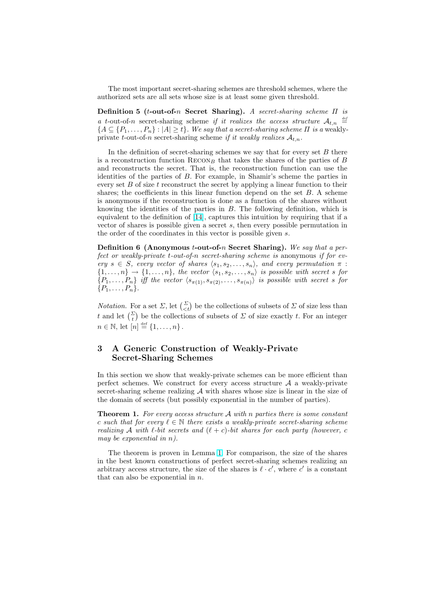<span id="page-6-0"></span>The most important secret-sharing schemes are threshold schemes, where the authorized sets are all sets whose size is at least some given threshold.

Definition 5 (t-out-of-n Secret Sharing). A secret-sharing scheme  $\Pi$  is a t-out-of-n secret-sharing scheme if it realizes the access structure  $\mathcal{A}_{t,n} \stackrel{\text{def}}{=}$  ${A \subseteq {P_1, \ldots, P_n} : |A| \ge t}$ . We say that a secret-sharing scheme  $\Pi$  is a weaklyprivate t-out-of-n secret-sharing scheme if it weakly realizes  $A_{t,n}$ .

In the definition of secret-sharing schemes we say that for every set  $B$  there is a reconstruction function  $RECON_B$  that takes the shares of the parties of B and reconstructs the secret. That is, the reconstruction function can use the identities of the parties of B. For example, in Shamir's scheme the parties in every set  $B$  of size t reconstruct the secret by applying a linear function to their shares; the coefficients in this linear function depend on the set  $B$ . A scheme is anonymous if the reconstruction is done as a function of the shares without knowing the identities of the parties in B. The following definition, which is equivalent to the definition of [14], captures this intuition by requiring that if a vector of shares is possible given a secret s, then every possible permutation in the order of the coordinates in this vector is possible given s.

**Definition 6 (Anonymous t-out-of-n Secret Sharing).** We say that a perfect or weakly-private t-out-of-[n](#page-18-0) secret-sharing scheme is anonymous if for every  $s \in S$ , every vector of shares  $\langle s_1, s_2, \ldots, s_n \rangle$ , and every permutation  $\pi$ :  $\{1, \ldots, n\} \rightarrow \{1, \ldots, n\}$ , the vector  $\langle s_1, s_2, \ldots, s_n \rangle$  is possible with secret s for  $\{P_1, \ldots, P_n\}$  iff the vector  $\langle s_{\pi(1)}, s_{\pi(2)}, \ldots, s_{\pi(n)}\rangle$  is possible with secret s for  $\{P_1, \ldots, P_n\}.$ 

*Notation.* For a set  $\Sigma$ , let  $\begin{pmatrix} \Sigma \\ \langle t \rangle \end{pmatrix}$  be the collections of subsets of  $\Sigma$  of size less than t and let  $\binom{\Sigma}{t}$  be the collections of subsets of  $\Sigma$  of size exactly t. For an integer  $n \in \mathbb{N}$ , let  $[n] \stackrel{\text{def}}{=} \{1, \ldots, n\}$ .

# 3 A Generic Construction of Weakly-Private Secret-Sharing Schemes

In this section we show that weakly-private schemes can be more efficient than perfect schemes. We construct for every access structure  $A$  a weakly-private secret-sharing scheme realizing  $A$  with shares whose size is linear in the size of the domain of secrets (but possibly exponential in the number of parties).

**Theorem 1.** For every access structure  $\mathcal{A}$  with n parties there is some constant c such that for every  $\ell \in \mathbb{N}$  there exists a weakly-private secret-sharing scheme realizing A with  $\ell$ -bit secrets and  $(\ell + c)$ -bit shares for each party (however, c may be exponential in n).

The theorem is proven in Lemma 1. For comparison, the size of the shares in the best known constructions of perfect secret-sharing schemes realizing an arbitrary access structure, the size of the shares is  $\ell \cdot c'$ , where c' is a constant that can also be exponential in  $n$ .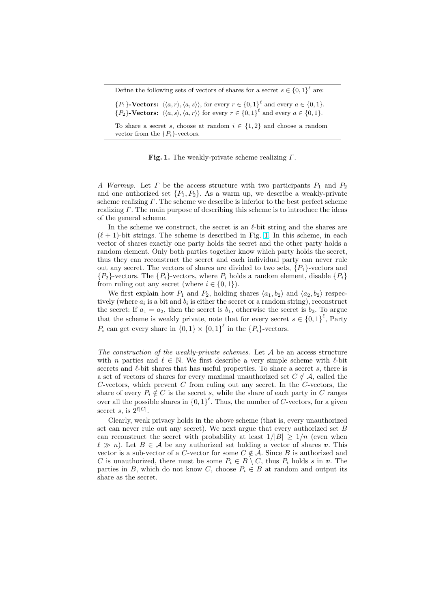Define the following sets of vectors of shares for a secret  $s \in \{0,1\}^{\ell}$  are:  $\{P_1\}$ -Vectors:  $\langle \langle a, r \rangle, \langle \overline{a}, s \rangle \rangle$ , for every  $r \in \{0, 1\}^{\ell}$  and every  $a \in \{0, 1\}$ .  $\{P_2\}$ -Vectors:  $\langle \langle a, s \rangle, \langle a, r \rangle \rangle$  for every  $r \in \{0, 1\}^{\ell}$  and every  $a \in \{0, 1\}$ . To share a secret s, choose at random  $i \in \{1,2\}$  and choose a random vector from the  $\{P_i\}$ -vectors.

**Fig. 1.** The weakly-private scheme realizing  $\Gamma$ .

A Warmup. Let  $\Gamma$  be the access structure with two participants  $P_1$  and  $P_2$ and one authorized set  $\{P_1, P_2\}$ . As a warm up, we describe a weakly-private scheme realizing  $\Gamma$ . The scheme we describe is inferior to the best perfect scheme realizing Γ. The main purpose of describing this scheme is to introduce the ideas of the general scheme.

In the scheme we construct, the secret is an  $\ell$ -bit string and the shares are  $(\ell + 1)$ -bit strings. The scheme is described in Fig. 1. In this scheme, in each vector of shares exactly one party holds the secret and the other party holds a random element. Only both parties together know which party holds the secret, thus they can reconstruct the secret and each individual party can never rule out any secret. The vectors of shares are divided to two sets,  $\{P_1\}$ -vectors and  ${P_2}$ -vectors. The  ${P_i}$ -vectors, where  $P_i$  holds a random element, disable  ${P_i}$ from ruling out any secret (where  $i \in \{0, 1\}$ ).

We first explain how  $P_1$  and  $P_2$ , holding shares  $\langle a_1, b_2 \rangle$  and  $\langle a_2, b_2 \rangle$  respectively (where  $a_i$  is a bit and  $b_i$  is either the secret or a random string), reconstruct the secret: If  $a_1 = a_2$ , then the secret is  $b_1$ , otherwise the secret is  $b_2$ . To argue that the scheme is weakly private, note that for every secret  $s \in \{0,1\}^{\ell}$ , Party  $P_i$  can get every share in  $\{0,1\} \times \{0,1\}^{\ell}$  in the  $\{P_i\}$ -vectors.

The construction of the weakly-private schemes. Let  $A$  be an access structure with n parties and  $\ell \in \mathbb{N}$ . We first describe a very simple scheme with  $\ell$ -bit secrets and  $\ell$ -bit shares that has useful properties. To share a secret s, there is a set of vectors of shares for every maximal unauthorized set  $C \notin \mathcal{A}$ , called the C-vectors, which prevent  $C$  from ruling out any secret. In the C-vectors, the share of every  $P_i \notin C$  is the secret s, while the share of each party in C ranges over all the possible shares in  ${0,1}^{\ell}$ . Thus, the number of C-vectors, for a given secret s, is  $2^{\ell|C|}$ .

Clearly, weak privacy holds in the above scheme (that is, every unauthorized set can never rule out any secret). We next argue that every authorized set  $B$ can reconstruct the secret with probability at least  $1/|B| \geq 1/n$  (even when  $\ell \gg n$ ). Let  $B \in \mathcal{A}$  be any authorized set holding a vector of shares v. This vector is a sub-vector of a C-vector for some  $C \notin \mathcal{A}$ . Since B is authorized and C is unauthorized, there must be some  $P_i \in B \setminus C$ , thus  $P_i$  holds s in v. The parties in B, which do not know C, choose  $P_i \in B$  at random and output its share as the secret.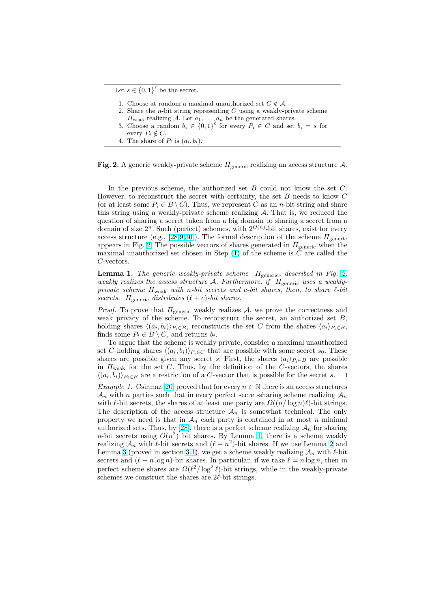```
Let s \in \{0,1\}^{\ell} be the secret.
1. Choose at random a maximal unauthorized set C \notin \mathcal{A}.
2. Share the n-bit string representing C using a weakly-private scheme
    \Pi_{\text{weak}} realizing A. Let a_1, \ldots, a_n be the generated shares.
 3. Choose a random b_i \in \{0,1\}^{\ell} for every P_i \in C and set b_i = s for
    every P_i \notin C.
4. The share of P_i is (a_i, b_i).
```
Fig. 2. A generic weakly-private scheme  $\Pi_{\text{generic}}$  realizing an access structure A.

In the previous scheme, the authorized set B could not know the set C. However, to reconstruct the secret with certainty, the set  $B$  needs to know  $C$ (or at least some  $P_i \in B \setminus C$ ). Thus, we represent C as an n-bit string and share this string using a weakly-private scheme realizing A. That is, we reduced the question of sharing a secret taken from a big domain to sharing a secret from a domain of size  $2^n$ . Such (perfect) schemes, with  $2^{O(n)}$ -bit shares, exist for every access structure (e.g., [28,9,30]). The formal description of the scheme  $\Pi_{\text{generic}}$ appears in Fig. 2. The possible vectors of shares generated in  $\Pi_{\text{generic}}$  when the maximal unauthorized set chosen in Step  $(1)$  of the scheme is C are called the C-vectors.

**Lemma 1.** The gener[ic w](#page-18-0)[eakl](#page-19-0)y-private scheme  $\Pi_{\text{generic}}$ , described in Fig. 2, weakly realizes the access structure A. Furthermore, if  $\Pi_{\text{generic}}$  uses a weaklyprivate scheme  $\Pi_{weak}$  with n-bit secrets and c-bit shares, then, to share  $\ell$ -bit secrets,  $\Pi_{\text{generic}}$  distributes  $(\ell + c)$ -bit shares.

*Proof.* To prove that  $\Pi$ <sub>generic</sub> weakly realizes A, we prove the correctness and weak privacy of the scheme. To reconstruct the secret, an authorized set  $B$ , holding shares  $\langle (a_i, b_i) \rangle_{P_i \in B}$ , reconstructs the set C from the shares  $\langle a_i \rangle_{P_i \in B}$ , finds some  $P_i \in B \setminus C$ , and returns  $b_i$ .

To argue that the scheme is weakly private, consider a maximal unauthorized set C holding shares  $\langle (a_i, b_i) \rangle_{P_i \in C}$  that are possible with some secret  $s_0$ . These shares are possible given any secret s: First, the shares  $\langle a_i \rangle_{P_i \in B}$  are possible in  $\Pi_{weak}$  for the set C. Thus, by the definition of the C-vectors, the shares  $\langle (a_i, b_i) \rangle_{P_i \in B}$  are a restriction of a C-vector that is possible for the secret s.  $\Box$ 

Example 1. Csirmaz [20] proved that for every  $n \in \mathbb{N}$  there is an access structures  $\mathcal{A}_n$  with n parties such that in every perfect secret-sharing scheme realizing  $\mathcal{A}_n$ with  $\ell$ -bit secrets, the shares of at least one party are  $\Omega((n/\log n)\ell)$ -bit strings. The description of the access structure  $\mathcal{A}_n$  is somewhat technical. The only property we need is [tha](#page-18-0)t in  $\mathcal{A}_n$  each party is contained in at most n minimal authorized sets. Thus, by [28], there is a perfect scheme realizing  $A_n$  for sharing *n*-bit secrets using  $O(n^2)$  bit shares. By Lemma 1, there is a scheme weakly realizing  $\mathcal{A}_n$  with  $\ell$ -bit secrets and  $(\ell + n^2)$ -bit shares. If we use Lemma 2 and Lemma 3 (proved in section 3.1), we get a scheme weakly realizing  $\mathcal{A}_n$  with  $\ell$ -bit secrets and  $(\ell + n \log n)$ -b[it s](#page-18-0)hares. In particular, if we take  $\ell = n \log n$ , then in perfect scheme shares are  $\Omega(\ell^2/\log^2 \ell)$ -bit strings, while in the weakly-private schemes we construct the shares are  $2\ell$ -bit strings.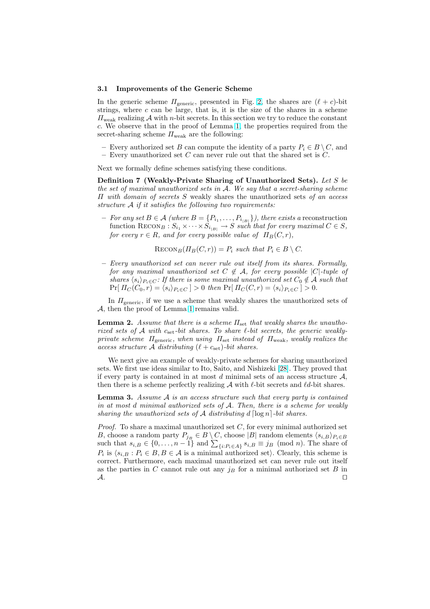#### 3.1 Improvements of the Generic Scheme

In the generic scheme  $\Pi_{\text{generic}}$ , presented in Fig. 2, the shares are  $(\ell + c)$ -bit strings, where  $c$  can be large, that is, it is the size of the shares in a scheme  $\Pi_{\text{weak}}$  realizing  $\mathcal A$  with *n*-bit secrets. In this section we try to reduce the constant c. We observe that in the proof of Lemma 1, the properties required from the secret-sharing scheme  $\Pi_{\text{weak}}$  are the following:

– Every authorized set B can compute the identity of a party  $P_i \in B \setminus C$ , and – Every unauthorized set  $C$  can never rule out that the shared set is  $C$ .

Next we formally define schemes satisfying [th](#page-8-0)ese conditions.

Definition 7 (Weakly-Private Sharing of Unauthorized Sets). Let S be the set of maximal unauthorized sets in A. We say that a secret-sharing scheme  $\Pi$  with domain of secrets S weakly shares the unauthorized sets of an access structure A if it satisfies the following two requirements:

− For any set B ∈ A (where B = { $P_{i_1},...,P_{i_{|B|}}$ }), there exists a reconstruction function  $\text{Recon}_B : S_{i_1} \times \cdots \times S_{i_{|B|}} \to S$  such that for every maximal  $C \in S$ , for every  $r \in R$ , and for every possible value of  $\Pi_B(C, r)$ ,

 $\text{RECON}_B(\Pi_B(C, r)) = P_i$  such that  $P_i \in B \setminus C$ .

– Every unauthorized set can never rule out itself from its shares. Formally, for any maximal unauthorized set  $C \notin \mathcal{A}$ , for every possible  $|C|$ -tuple of shares  $\langle s_i \rangle_{P_i \in C}$ : If there is some maximal unauthorized set  $C_0 \notin A$  such that  $Pr[\Pi_C(C_0,r) = \langle s_i \rangle_{P_i \in C}] > 0$  then  $Pr[\Pi_C(C,r) = \langle s_i \rangle_{P_i \in C}] > 0.$ 

In  $\Pi$ <sub>generic</sub>, if we use a scheme that weakly shares the unauthorized sets of A, then the proof of Lemma 1 remains valid.

**Lemma 2.** Assume that there is a scheme  $\Pi_{\text{set}}$  that weakly shares the unauthorized sets of  $A$  with  $c_{\text{set}}$ -bit shares. To share  $\ell$ -bit secrets, the generic weaklyprivate scheme  $\Pi_{\text{generic}}$ , when using  $\Pi_{\text{set}}$  instead of  $\Pi_{\text{weak}}$ , weakly realizes the access structure A distributi[ng](#page-8-0)  $(\ell + c_{\rm set})$ -bit shares.

We next give an example of weakly-private schemes for sharing unauthorized sets. We first use ideas similar to Ito, Saito, and Nishizeki [28]. They proved that if every party is contained in at most  $d$  minimal sets of an access structure  $A$ , then there is a scheme perfectly realizing  $\mathcal A$  with  $\ell$ -bit secrets and  $\ell d$ -bit shares.

**Lemma 3.** Assume  $A$  is an access structure such that every party is contained in at most d minimal authorized sets of A. Then, there i[s a](#page-18-0) scheme for weakly sharing the unauthorized sets of A distributing  $d \lceil \log n \rceil$ -bit shares.

*Proof.* To share a maximal unauthorized set  $C$ , for every minimal authorized set B, choose a random party  $P_{j_B} \in B \setminus C$ , choose |B| random elements  $\langle s_{i,B} \rangle_{P_i \in B}$ B, choose a random party  $P_{j_B} \in B \setminus C$ , choose |B| random elements  $\langle s_{i,B} \rangle_{P_i \in B}$  such that  $s_{i,B} \in \{0, \ldots, n-1\}$  and  $\sum_{\{i:P_i \in A\}} s_{i,B} \equiv j_B \pmod{n}$ . The share of  $P_i$  is  $\langle s_{i,B} : P_i \in B, B \in A$  is a minimal authorized set). Clearly, this scheme is correct. Furthermore, each maximal unauthorized set can never rule out itself as the parties in C cannot rule out any  $j_B$  for a minimal authorized set B in  $\mathcal{A}.$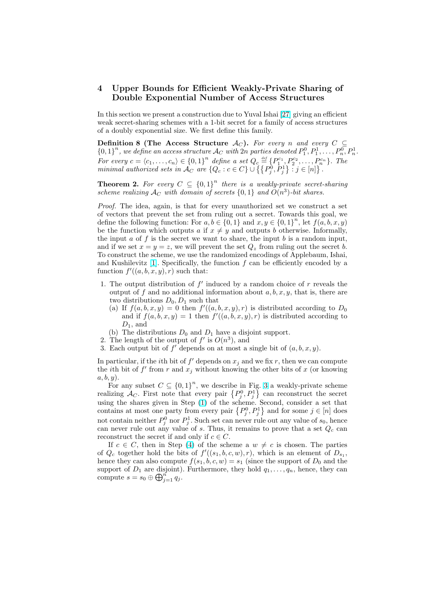# <span id="page-10-0"></span>4 Upper Bounds for Efficient Weakly-Private Sharing of Double Exponential Number of Access Structures

In this section we present a construction due to Yuval Ishai [27] giving an efficient weak secret-sharing schemes with a 1-bit secret for a family of access structures of a doubly exponential size. We first define this family.

Definition 8 (The Access Structure  $\mathcal{A}_{C}$ ). For every n and every  $C \subseteq$  ${0,1}^n$ , we define an access structure  $\mathcal{A}_C$  with 2n parties de[not](#page-18-0)ed  $P_1^0, P_1^1, \ldots, P_n^0, P_n^1$ . For every  $c = \langle c_1, \ldots, c_n \rangle \in \{0,1\}^n$  define a set  $Q_c \stackrel{\text{def}}{=} \{P_1^{c_1}, P_2^{c_2}, \ldots, P_n^{c_n}\}$ . The minimal authorized sets in  $\mathcal{A}_C$  are  $\{Q_c : c \in C\} \cup \{\{P_1^0, P_j^1\} : j \in [n]\}$ .  $\mathcal{L}$ :  $j \in [n]$  $\zeta$ .

**Theorem 2.** For every  $C \subseteq \{0,1\}^n$  there is a weakly-private secret-sharing scheme realizing  $\mathcal{A}_C$  with domain of secrets  $\{0,1\}$  and  $O(n^3)$ -bit shares.

Proof. The idea, again, is that for every unauthorized set we construct a set of vectors that prevent the set from ruling out a secret. Towards this goal, we define the following function: For  $a, b \in \{0, 1\}$  and  $x, y \in \{0, 1\}^n$ , let  $f(a, b, x, y)$ be the function which outputs a if  $x \neq y$  and outputs b otherwise. Informally, the input  $a$  of  $f$  is the secret we want to share, the input  $b$  is a random input, and if we set  $x = y = z$ , we will prevent the set  $Q_z$  from ruling out the secret b. To construct the scheme, we use the randomized encodings of Applebaum, Ishai, and Kushilevitz  $[1]$ . Specifically, the function f can be efficiently encoded by a function  $f'(a, b, x, y), r$  such that:

- 1. The output distribution of  $f'$  induced by a random choice of  $r$  reveals the output of f and no additional information about  $a, b, x, y$ , that is, there are two distribut[ion](#page-17-0)s  $D_0, D_1$  such that
	- (a) If  $f(a, b, x, y) = 0$  then  $f'((a, b, x, y), r)$  is distributed according to  $D_0$ and if  $f(a, b, x, y) = 1$  then  $f'(a, b, x, y), r$  is distributed according to  $D_1$ , and
	- (b) The distributions  $D_0$  and  $D_1$  have a disjoint support.
- 2. The length of the output of  $f'$  is  $O(n^3)$ , and
- 3. Each output bit of  $f'$  depends on at most a single bit of  $(a, b, x, y)$ .

In particular, if the *i*th bit of  $f'$  depends on  $x_j$  and we fix r, then we can compute the *i*th bit of  $f'$  from r and  $x_j$  without knowing the other bits of x (or knowing  $a, b, y$ .

For any subset  $C \subseteq \{0,1\}^n$ , we describe in Fig. 3 a weakly-private scheme For any subset  $C \subseteq \{0,1\}^n$ , we describe in Fig. 3 a weakly-private scheme<br>realizing  $\mathcal{A}_C$ . First note that every pair  $\{P_j^0, P_j^1\}$  can reconstruct the secret using the shares given in Step (1) of the scheme. Second, consider a set that contains at most one party from every pair  $\{P_j^0, P_j^1\}$  and for some  $j \in [n]$  does ª and for some  $j \in [n]$  does not contain neither  $P_j^0$  nor  $P_j^1$ . Such set can never rul[e o](#page-11-0)ut any value of  $s_0$ , hence can never rule out any value of s. Thus, it remains to prove that a set  $Q_c$  can reconstruct the secret if and onl[y i](#page-11-0)f  $c \in C$ .

If  $c \in C$ , then in Step (4) of the scheme a  $w \neq c$  is chosen. The parties of  $Q_c$  together hold the bits of  $f'((s_1, b, c, w), r)$ , which is an element of  $D_{s_1}$ , hence they can also compute  $f(s_1, b, c, w) = s_1$  (since the support of  $D_0$  and the support of  $D_1$  are disjoint). Furthermore, they hold  $q_1, \ldots, q_n$ , hence, they can compute  $s = s_0 \oplus \bigoplus_{j=1}^n q_j$ .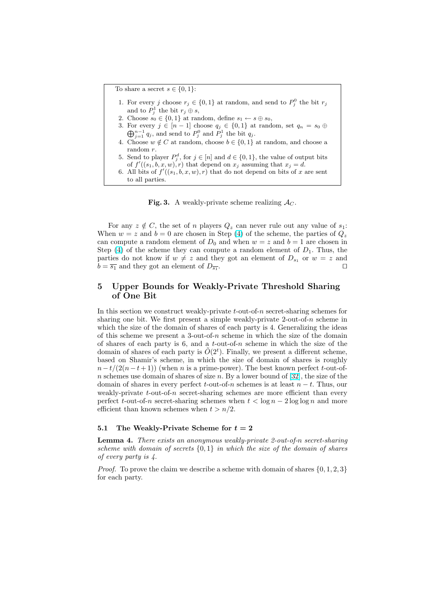<span id="page-11-0"></span>To share a secret  $s \in \{0, 1\}$ :

- 1. For every j choose  $r_j \in \{0,1\}$  at random, and send to  $P_j^0$  the bit  $r_j$ and to  $P_j^1$  the bit  $r_j \oplus s$ ,
- 2. Choose  $s_0 \in \{0,1\}$  at random, define  $s_1 \leftarrow s \oplus s_0$ ,
- 3. For every  $j \in [n-1]$  choose  $q_j \in \{0,1\}$  at random, set  $q_n = s_0 \oplus$  $\sum_{j=1}^{n-1} q_j$ , and send to  $P_j^0$  and  $P_j^1$  the bit  $q_j$ .
- 4. Choose  $w \notin C$  at random, choose  $b \in \{0, 1\}$  at random, and choose a random r.
- 5. Send to player  $P_j^d$ , for  $j \in [n]$  and  $d \in \{0,1\}$ , the value of output bits of  $f'((s_1, b, x, w), r)$  that depend on  $x_j$  assuming that  $x_j = d$ .
- 6. All bits of  $f'((s_1, b, x, w), r)$  that do not depend on bits of x are sent to all parties.

**Fig. 3.** A weakly-private scheme realizing  $A_C$ .

For any  $z \notin C$ , the set of n players  $Q_z$  can never rule out any value of  $s_1$ : When  $w = z$  and  $b = 0$  are chosen in Step (4) of the scheme, the parties of  $Q_z$ can compute a random element of  $D_0$  and when  $w = z$  and  $b = 1$  are chosen in Step (4) of the scheme they can compute a random element of  $D_1$ . Thus, the parties do not know if  $w \neq z$  and they got an element of  $D_{s_1}$  or  $w = z$  and  $b = \overline{s_1}$  and they got an element of  $D_{\overline{s_1}}$ . . The contract of the contract of  $\Box$ 

# 5 Upper Bounds for Weakly-Private Threshold Sharing of One Bit

In this section we construct weakly-private t-out-of-n secret-sharing schemes for sharing one bit. We first present a simple weakly-private 2-out-of-n scheme in which the size of the domain of shares of each party is 4. Generalizing the ideas of this scheme we present a 3-out-of-n scheme in which the size of the domain of shares of each party is 6, and a  $t$ -out-of-n scheme in which the size of the domain of shares of each party is  $\tilde{O}(2^t)$ . Finally, we present a different scheme, based on Shamir's scheme, in which the size of domain of shares is roughly  $n-t/(2(n-t+1))$  (when n is a prime-power). The best known perfect t-out-ofn schemes use domain of shares of size n. By a lower bound of  $[32]$ , the size of the domain of shares in every perfect  $t$ -out-of-n schemes is at least  $n - t$ . Thus, our weakly-private  $t$ -out-of-n secret-sharing schemes are more efficient than every perfect t-out-of-n secret-sharing schemes when  $t < \log n - 2 \log \log n$  and more efficient than known schemes when  $t > n/2$ .

### 5.1 The Weakly-Private Scheme for  $t = 2$

Lemma 4. There exists an anonymous weakly-private 2-out-of-n secret-sharing scheme with domain of secrets  $\{0,1\}$  in which the size of the domain of shares of every party is 4.

*Proof.* To prove the claim we describe a scheme with domain of shares  $\{0, 1, 2, 3\}$ for each party.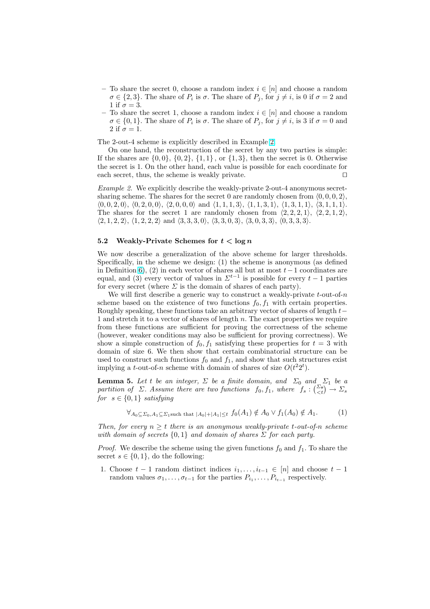- <span id="page-12-0"></span>– To share the secret 0, choose a random index  $i \in [n]$  and choose a random  $\sigma \in \{2,3\}$ . The share of  $P_i$  is  $\sigma$ . The share of  $P_j$ , for  $j \neq i$ , is 0 if  $\sigma = 2$  and 1 if  $\sigma = 3$ .
- To share the secret 1, choose a random index  $i \in [n]$  and choose a random  $\sigma \in \{0,1\}$ . The share of  $P_i$  is  $\sigma$ . The share of  $P_j$ , for  $j \neq i$ , is 3 if  $\sigma = 0$  and 2 if  $\sigma = 1$ .

The 2-out-4 scheme is explicitly described in Example 2.

On one hand, the reconstruction of the secret by any two parties is simple: If the shares are  $\{0, 0\}$ ,  $\{0, 2\}$ ,  $\{1, 1\}$ , or  $\{1, 3\}$ , then the secret is 0. Otherwise the secret is 1. On the other hand, each value is possible for each coordinate for each secret, thus, the scheme is weakly private.  $\Box$ 

Example 2. We explicitly describe the weakly-private 2-out-4 anonymous secretsharing scheme. The shares for the secret 0 are randomly chosen from  $(0, 0, 0, 2)$ ,  $\langle 0, 0, 2, 0 \rangle$ ,  $\langle 0, 2, 0, 0 \rangle$ ,  $\langle 2, 0, 0, 0 \rangle$  and  $\langle 1, 1, 1, 3 \rangle$ ,  $\langle 1, 1, 3, 1 \rangle$ ,  $\langle 1, 3, 1, 1 \rangle$ ,  $\langle 3, 1, 1, 1 \rangle$ . The shares for the secret 1 are randomly chosen from  $\langle 2, 2, 2, 1 \rangle$ ,  $\langle 2, 2, 1, 2 \rangle$ ,  $\langle 2, 1, 2, 2 \rangle$ ,  $\langle 1, 2, 2, 2 \rangle$  and  $\langle 3, 3, 3, 0 \rangle$ ,  $\langle 3, 3, 0, 3 \rangle$ ,  $\langle 3, 0, 3, 3 \rangle$ ,  $\langle 0, 3, 3, 3 \rangle$ .

### 5.2 Weakly-Private Schemes for  $t < \log n$

We now describe a generalization of the above scheme for larger thresholds. Specifically, in the scheme we design: (1) the scheme is anonymous (as defined in Definition 6), (2) in each vector of shares all but at most  $t-1$  coordinates are equal, and (3) every vector of values in  $\Sigma^{t-1}$  is possible for every  $t-1$  parties for every secret (where  $\Sigma$  is the domain of shares of each party).

We will first describe a generic way to construct a weakly-private  $t$ -out-of- $n$ scheme base[d](#page-6-0) on the existence of two functions  $f_0, f_1$  with certain properties. Roughly speaking, these functions take an arbitrary vector of shares of length  $t-$ 1 and stretch it to a vector of shares of length  $n$ . The exact properties we require from these functions are sufficient for proving the correctness of the scheme (however, weaker conditions may also be sufficient for proving correctness). We show a simple construction of  $f_0, f_1$  satisfying these properties for  $t = 3$  with domain of size 6. We then show that certain combinatorial structure can be used to construct such functions  $f_0$  and  $f_1$ , and show that such structures exist implying a *t*-out-of-*n* scheme with domain of shares of size  $O(t^2 2^t)$ .

**Lemma 5.** Let t be an integer,  $\Sigma$  be a finite domain, and  $\Sigma_0$  and  $\Sigma_1$  be a **Lemma 5.** Let t be an integer,  $\Sigma$  be a finite domain, and  $\Sigma_0$  and  $\Sigma_1$  be a partition of  $\Sigma$ . Assume there are two functions  $f_0, f_1$ , where  $f_s : \binom{\Sigma_s}{\langle z \rangle} \to \Sigma_s$ for  $s \in \{0,1\}$  satisfying

$$
\forall_{A_0 \subseteq \Sigma_0, A_1 \subseteq \Sigma_1 \text{such that } |A_0| + |A_1| \leq t} f_0(A_1) \notin A_0 \lor f_1(A_0) \notin A_1. \tag{1}
$$

Then, for every  $n \geq t$  there is an anonymous weakly-private t-out-of-n scheme with domain of secrets  $\{0,1\}$  and domain of shares  $\Sigma$  for each party.

*Proof.* We describe the scheme using the given functions  $f_0$  and  $f_1$ . To share the secret  $s \in \{0,1\}$ , do the following:

1. Choose  $t-1$  random distinct indices  $i_1, \ldots, i_{t-1} \in [n]$  and choose  $t-1$ random values  $\sigma_1, \ldots, \sigma_{t-1}$  for the parties  $P_{i_1}, \ldots, P_{i_{t-1}}$  respectively.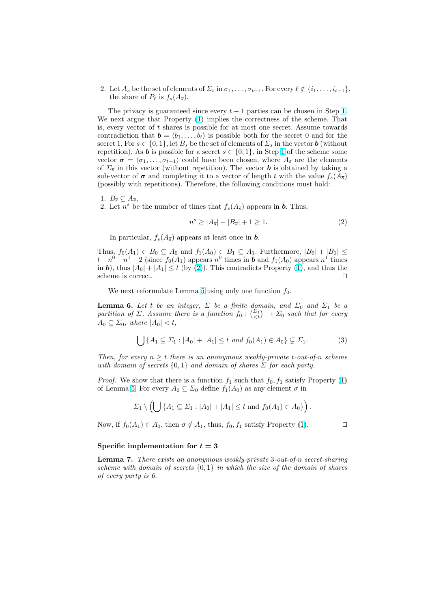<span id="page-13-0"></span>2. Let  $A_{\overline{s}}$  be the set of elements of  $\Sigma_{\overline{s}}$  in  $\sigma_1, \ldots, \sigma_{t-1}$ . For every  $\ell \notin \{i_1, \ldots, i_{t-1}\},$ the share of  $P_\ell$  is  $f_s(A_{\overline{s}})$ .

The privacy is guaranteed since every  $t - 1$  parties can be chosen in Step 1. We next argue that Property (1) implies the correctness of the scheme. That is, every vector of  $t$  shares is possible for at most one secret. Assume towards contradiction that  $\mathbf{b} = \langle b_1, \ldots, b_t \rangle$  is possible both for the secret 0 and for the secret 1. For  $s \in \{0,1\}$ , let  $B_s$  be the set of elements of  $\sum_s$  in the vector **b** (witho[ut](#page-12-0) repetition). As **b** is possible for [a](#page-12-0) secret  $s \in \{0, 1\}$ , in Step 1 of the scheme some vector  $\sigma = \langle \sigma_1, \ldots, \sigma_{t-1} \rangle$  could have been chosen, where  $A_{\overline{s}}$  are the elements of  $\Sigma_{\overline{s}}$  in this vector (without repetition). The vector **b** is obtained by taking a sub-vector of  $\sigma$  and completing it to a vector of length t with the value  $f_s(A_{\overline{s}})$ (possibly with repetitions). Therefore, the following condi[tio](#page-12-0)ns must hold:

1.  $B_{\overline{s}} \subseteq A_{\overline{s}},$ 

2. Let  $n^s$  be the number of times that  $f_s(A_{\overline{s}})$  appears in **b**. Thus,

$$
n^s \ge |A_{\overline{s}}| - |B_{\overline{s}}| + 1 \ge 1. \tag{2}
$$

In particular,  $f_s(A_{\overline{s}})$  appears at least once in **b**.

Thus,  $f_0(A_1) \in B_0 \subseteq A_0$  and  $f_1(A_0) \in B_1 \subseteq A_1$ . Furthermore,  $|B_0| + |B_1| \leq$  $t-n^0-n^1+2$  (since  $f_0(A_1)$  appears  $n^0$  times in **b** and  $f_1(A_0)$  appears  $n^1$  times in b), thus  $|A_0| + |A_1| \le t$  (by (2)). This contradicts Property (1), and thus the scheme is correct.  $\Box$ 

We next reformulate Lemma 5 using only one function  $f_0$ .

**Lemma 6.** Let t be an integer,  $\Sigma$  be a finite domain, and  $\Sigma_0$  and  $\Sigma_1$  be a partition of  $\Sigma$ , decume there is a function  $f_1: (\Sigma_1) \longrightarrow \Sigma_2$  each that for every **Lemma 6.** Let t be an integer,  $\Sigma$  be a finite domain, and  $\Sigma_0$  and  $\Sigma_1$  be a partition of  $\Sigma$ . Assume there is a function  $f_0: \begin{pmatrix} \Sigma_t \\ \Sigma_t \end{pmatrix} \to \Sigma_0$  such that for every  $A_0 \subseteq \Sigma_0$ , where  $|A_0| < t$ ,

$$
\bigcup \{A_1 \subseteq \Sigma_1 : |A_0| + |A_1| \leq t \text{ and } f_0(A_1) \in A_0\} \subsetneq \Sigma_1.
$$
 (3)

Then, for every  $n \geq t$  there is an anonymous weakly-private t-out-of-n scheme with domain of secrets  $\{0,1\}$  and domain of shares  $\Sigma$  for each party.

*Proof.* We show that there is a function  $f_1$  such that  $f_0, f_1$  satisfy Property (1) of Lemma 5. For every  $A_0 \subseteq \Sigma_0$  define  $f_1(A_0)$  as any element  $\sigma$  in

$$
\Sigma_1 \setminus \left( \bigcup \{ A_1 \subseteq \Sigma_1 : |A_0| + |A_1| \leq t \text{ and } f_0(A_1) \in A_0 \} \right).
$$

Now, if  $f_0(A_1) \in A_0$  $f_0(A_1) \in A_0$  $f_0(A_1) \in A_0$ , then  $\sigma \notin A_1$ , thus,  $f_0, f_1$  satisfy Property (1).

### Specific implementation for  $t = 3$

Lemma 7. There exists an anonymous weakly-private 3-out-of-[n](#page-12-0) secret-sharing scheme with domain of secrets  $\{0,1\}$  in which the size of the domain of shares of every party is 6.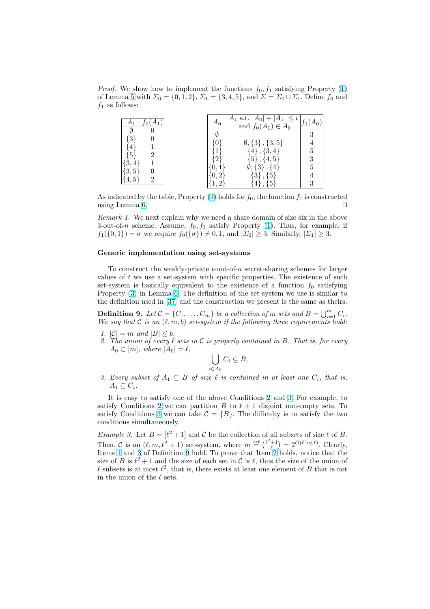<span id="page-14-0"></span>*Proof.* We show how to implement the functions  $f_0, f_1$  satisfying Property (1) of Lemma 5 with  $\Sigma_0 = \{0, 1, 2\}, \Sigma_1 = \{3, 4, 5\}, \text{ and } \Sigma = \Sigma_0 \cup \Sigma_1$ . Define  $f_0$  and  $f_1$  as follows:

|                                    | $A_0$ | $A_1$ s.t. $ A_0 $ +<br>$ A_1  \leq t$<br>and $f_0(A_1) \in A_0$ | $f_1(A_0)$ |
|------------------------------------|-------|------------------------------------------------------------------|------------|
|                                    |       |                                                                  |            |
| $\lceil 3 \rceil$                  | 0     | $\emptyset$ , $\{3\}$ , $\{3, 5\}$                               |            |
| $\left 4\right $<br>$\overline{2}$ |       | $\{4\}, \{3,4\}$                                                 | 5          |
| (5)                                | 2     | $\{5\}$ , $\{4,5\}$                                              |            |
| $\{3,4\}$                          |       | $\emptyset$ , $\{3\}$ , $\{4\}$                                  | 5          |
| $\{3,5\}$<br>2                     |       | $\{3\}, \{5\}$                                                   |            |
|                                    |       | $\{5\}$<br>$\{4\},\,$                                            |            |

As indicated by the table, Property  $(3)$  holds for  $f_0$ ; the function  $f_1$  is constructed using Lemma 6.  $\Box$ 

Remark 1. We next explain why we need a share domain of size six in the above 3-out-of-n scheme. Assume,  $f_0, f_1$  satisfy Property (1). Thus, for example, if  $f_1({0, 1}) = \sigma$  we require  $f_0({\{\sigma\}}) \neq 0, 1$ , and  $|\Sigma_0| \geq 3$ . Similarly,  $|\Sigma_1| \geq 3$ .

#### Generic implementation using set-systems

To construct the weakly-private  $t$ -out-of-n secret-sharing schemes for larger values of  $t$  we use a set-system with specific properties. The existence of such set-system is basically equivalent to the existence of a function  $f_0$  satisfying Property (3) in Lemma 6. The definition of the set-system we use is similar to the definition used in [37] and the construction we present is the same as theirs.

**Definition 9.** Let  $\mathcal{C} = \{C_1, \ldots, C_m\}$  be a collection of m sets and  $B = \bigcup_{i=1}^m C_i$ . We say that C is an  $(\ell, m, b)$  set-system if the following three requirements hold:

- 1.  $|\mathcal{C}| = m$  $|\mathcal{C}| = m$  $|\mathcal{C}| = m$  and  $|B| \leq b$ [,](#page-13-0)
- 2. The union of every  $\ell$  sets in C is properly contained in B. That is, for every  $A_0 \subset [m],$  where  $|A_0| = \ell,$

$$
\bigcup_{i\in A_0} C_i \subsetneq B,
$$

3. Every subset of  $A_1 \subseteq B$  of size  $\ell$  is contained in at least one  $C_i$ , that is,  $A_1 \subseteq C_i$ .

It is easy to satisfy one of the above Conditions 2 and 3. For example, to satisfy Conditions 2 we can partition B to  $\ell + 1$  disjoint non-empty sets. To satisfy Conditions 3 we can take  $\mathcal{C} = \{B\}$ . The difficulty is to satisfy the two conditions simultaneously.

*Example 3.* Let  $B = [\ell^2 + 1]$  and C be the collection of all subsets of size  $\ell$  of B. Then, C is an  $(\ell, m, \ell^2 + 1)$  set-system, where  $m \stackrel{\text{def}}{=} {\ell^2 + 1 \choose \ell}$  $= 2^{O(\ell \log \ell)}$ . Clearly, Items 1 and 3 of Definition 9 hold. To prove that Item 2 holds, notice that the size of B is  $\ell^2 + 1$  and the size of each set in C is  $\ell$ , thus the size of the union of  $\ell$  subsets is at most  $\ell^2$ , that is, there exists at least one element of B that is not in the union of the  $\ell$  sets.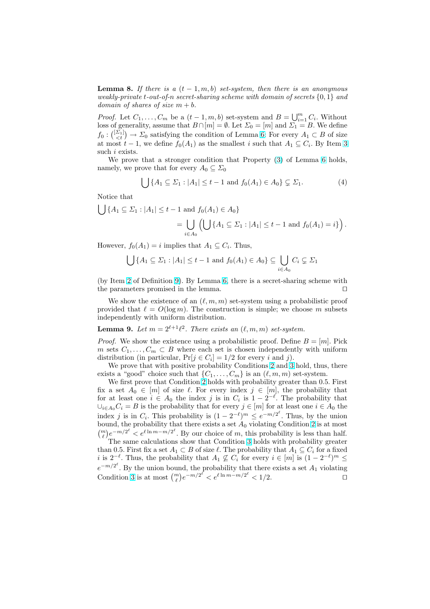**Lemma 8.** If there is a  $(t-1,m,b)$  set-system, then there is an anonymous weakly-private t-out-of-n secret-sharing scheme with domain of secrets  $\{0, 1\}$  and domain of shares of size  $m + b$ .

*Proof.* Let  $C_1, \ldots, C_m$  be a  $(t-1, m, b)$  set-system and  $B = \bigcup_{i=1}^m C_i$ . Without loss of generality, assume that  $B \cap [m] = \emptyset$ . Let  $\Sigma_0 = [m]$  and  $\Sigma_1 = B$ . We define foss of generatity, assume that  $B \cap [m] = \emptyset$ . Let  $\angle_0 = [m]$  and  $\angle_1 = B$ . We define  $f_0: \binom{[\Sigma_1]}{\leq t} \to \Sigma_0$  satisfying the condition of Lemma 6: For every  $A_1 \subset B$  of size at most  $t-1$ , we define  $f_0(A_1)$  as the smallest i such that  $A_1 \subseteq C_i$ . By Item 3 such *i* exists.

We prove that a stronger condition that Property (3) of Lemma 6 holds, namely, we prove that for every  $A_0 \subseteq \Sigma_0$ 

$$
\bigcup \{A_1 \subseteq \Sigma_1 : |A_1| \le t - 1 \text{ and } f_0(A_1) \in A_0\} \subsetneq \Sigma_1.
$$
 (4)

Notice that  $\overline{\phantom{a}}$ 

$$
\bigcup \{ A_1 \subseteq \Sigma_1 : |A_1| \le t - 1 \text{ and } f_0(A_1) \in A_0 \}
$$
  
= 
$$
\bigcup_{i \in A_0} \left( \bigcup \{ A_1 \subseteq \Sigma_1 : |A_1| \le t - 1 \text{ and } f_0(A_1) = i \} \right).
$$

However,  $f_0(A_1) = i$  implies that  $A_1 \subseteq C_i$ . Thus,

$$
\bigcup \{A_1 \subseteq \Sigma_1 : |A_1| \le t - 1 \text{ and } f_0(A_1) \in A_0\} \subseteq \bigcup_{i \in A_0} C_i \subsetneq \Sigma_1
$$

(by Item 2 of Definition 9). By Lemma 6, there is a secret-sharing scheme with the parameters promised in the lemma.  $\Box$ 

We show the existence of an  $(\ell, m, m)$  set-system using a probabilistic proof provided that  $\ell = O(\log m)$ . The construction is simple; we choose m subsets independ[en](#page-14-0)tly with unif[orm](#page-14-0) distributio[n.](#page-13-0)

**Lemma 9.** Let  $m = 2^{\ell+1}\ell^2$ . There exists an  $(\ell, m, m)$  set-system.

*Proof.* We show the existence using a probabilistic proof. Define  $B = [m]$ . Pick m sets  $C_1, \ldots, C_m \subset B$  where each set is chosen independently with uniform distribution (in particular,  $Pr[j \in C_i] = 1/2$  for every i and j).

We prove that with positive probability Conditions 2 and 3 hold, thus, there exists a "good" choice such that  $\{C_1, \ldots, C_m\}$  is an  $(\ell, m, m)$  set-system.

We first prove that Condition 2 holds with probability greater than 0.5. First fix a set  $A_0 \in [m]$  of size  $\ell$ . For every index  $j \in [m]$ , the probability that for at least one  $i \in A_0$  t[he](#page-14-0) index j is in  $C_i$  is  $1 - 2^{-\ell}$ . The probability that  $\bigcup_{i\in A_0} C_i = B$  is the probability that f[or](#page-14-0) every  $j \in [m]$  for at least one  $i \in A_0$  the index j is in  $C_i$ . This probabilit[y i](#page-14-0)s  $(1 - 2^{-\ell})^m \leq e^{-m/2^{\ell}}$ . Thus, by the union bound, the probability that there exists a set  $A_0$  violating Condition 2 is at most bound, the probability that there exists a set  $A_0$  violating Condition 2 is at most<br>  $\binom{m}{\ell}e^{-m/2^{\ell}} < e^{\ell \ln m - m/2^{\ell}}$ . By our choice of m, this probability is less than half.

The same calculations show that Condition 3 holds with probability greater than 0.5. First fix a set  $A_1 \subset B$  of size  $\ell$ . The probability that  $A_1 \subseteq C_i$  for a fixed *i* is  $2^{-\ell}$ . Thus, the probability that  $A_1 \not\subseteq C_i$  for every  $i \in [m]$  is  $(1 - 2^{-\ell})^m \le$  $e^{-m/2^{\ell}}$ . By the union bound, the probability that there exists a set  $A_1$  violating Condition 3 is at most  $\binom{m}{\ell}e^{-m/2^{\ell}} < e^{\ell \ln m - m/2^{\ell}} < 1/2$  $\binom{m}{\ell}e^{-m/2^{\ell}} < e^{\ell \ln m - m/2^{\ell}} < 1/2$  $\binom{m}{\ell}e^{-m/2^{\ell}} < e^{\ell \ln m - m/2^{\ell}} < 1/2$ .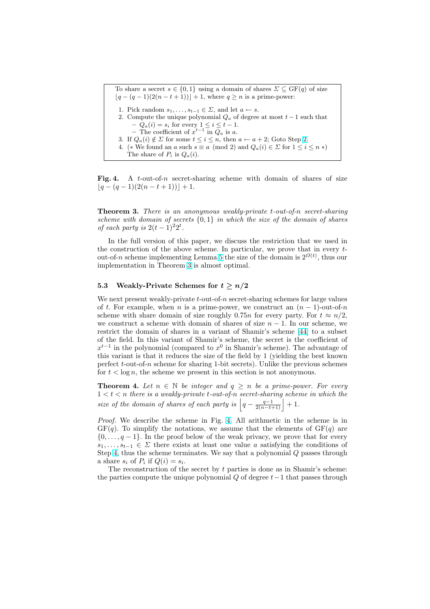To share a secret  $s \in \{0,1\}$  using a domain of shares  $\Sigma \subseteq \text{GF}(q)$  of size  $\lfloor q - (q - 1)(2(n - t + 1)) \rfloor + 1$ , where  $q \ge n$  is a prime-power: 1. Pick random  $s_1, \ldots, s_{t-1} \in \Sigma$ , and let  $a \leftarrow s$ . 2. Compute the unique polynomial  $Q_a$  of degree at most  $t-1$  such that  $-Q_a(i) = s_i$  for every  $1 \leq i \leq t-1$ . − The coefficient of  $x^{t-1}$  in  $Q_a$  is a. 3. If  $Q_a(i) \notin \Sigma$  for some  $t \leq i \leq n$ , then  $a \leftarrow a + 2$ ; Goto Step 2. 4. (\* We found an a such  $s \equiv a \pmod{2}$  and  $Q_a(i) \in \Sigma$  for  $1 \leq i \leq n *$ ) The share of  $P_i$  is  $Q_a(i)$ .

Fig. 4. A t-out-of-n secret-sharing scheme with domain of shares of size  $|q - (q - 1)(2(n - t + 1))| + 1.$ 

**Theorem 3.** There is an anonymous weakly-private t-out-of-n secret-sharing scheme with domain of secrets  $\{0,1\}$  in which the size of the domain of shares of each party is  $2(t-1)^22^t$ .

In the full version of this paper, we discuss the restriction that we used in the construction of the above scheme. In particular, we prove that in every tout-of-n scheme implementing Lemma 5 the size of the domain is  $2^{\Omega(t)}$ , thus our implementation in Theorem 3 is almost optimal.

### 5.3 Weakly-Private Schemes for  $t \geq n/2$

We next present weakly-private  $t$ -out-o[f-](#page-12-0)n secret-sharing schemes for large values of t. For example, when n is a prime-power, we construct an  $(n - 1)$ -out-of-n scheme with share domain of size roughly 0.75n for every party. For  $t \approx n/2$ , we construct a scheme with domain of shares of size  $n-1$ . In our scheme, we restrict the domain of shares in a variant of Shamir's scheme [44] to a subset of the field. In this variant of Shamir's scheme, the secret is the coefficient of  $x^{t-1}$  in the polynomial (compared to  $x^0$  in Shamir's scheme). The advantage of this variant is that it reduces the size of the field by 1 (yielding the best known perfect  $t$ -out-of-n scheme for sharing 1-bit secrets). Unlike the p[revi](#page-19-0)ous schemes for  $t < \log n$ , the scheme we present in this section is not anonymous.

**Theorem 4.** Let  $n \in \mathbb{N}$  be integer and  $q \geq n$  be a prime-power. For every  $1 < t < n$  there is a weakly-private t-out-of-n secret-sharing scheme in which the  $1 < t < n$  there is a weakly-private t-out-of-n secret-sharing schen<br>size of the domain of shares of each party is  $\left| q - \frac{q-1}{2(n-t+1)} \right| + 1$ .

Proof. We describe the scheme in Fig. 4. All arithmetic in the scheme is in  $GF(q)$ . To simplify the notations, we assume that the elements of  $GF(q)$  are  $\{0, \ldots, q-1\}$ . In the proof below of the weak privacy, we prove that for every  $s_1, \ldots, s_{t-1} \in \Sigma$  there exists at least one value a satisfying the conditions of Step 4, thus the scheme terminates. We say that a polynomial Q passes through a share  $s_i$  of  $P_i$  if  $Q(i) = s_i$ .

The reconstruction of the secret by  $t$  parties is done as in Shamir's scheme: the parties compute the unique polynomial  $Q$  of degree  $t-1$  that passes through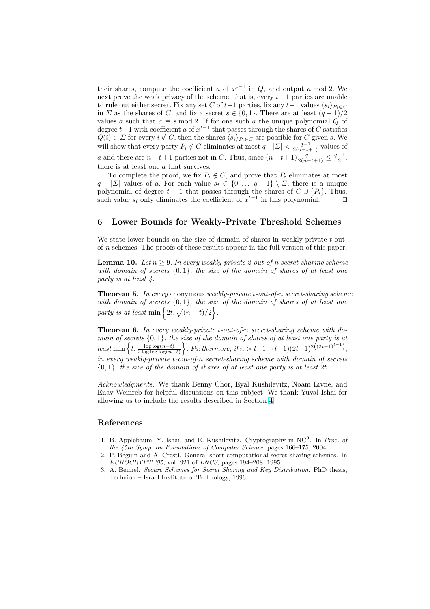<span id="page-17-0"></span>their shares, compute the coefficient a of  $x^{t-1}$  in Q, and output a mod 2. We next prove the weak privacy of the scheme, that is, every  $t-1$  parties are unable to rule out either secret. Fix any set C of  $t-1$  parties, fix any  $t-1$  values  $\langle s_i \rangle_{P_i \in C}$ in  $\Sigma$  as the shares of C, and fix a secret  $s \in \{0,1\}$ . There are at least  $(q-1)/2$ values a such that  $a \equiv s \mod 2$ . If for one such a the unique polynomial Q of degree  $t-1$  with coefficient a of  $x^{t-1}$  that passes through the shares of C satisfies  $Q(i) \in \Sigma$  for every  $i \notin C$ , then the shares  $\langle s_i \rangle_{P_i \in C}$  are possible for C given s. We will show that every party  $P_i \notin C$  eliminates at most  $q-|\Sigma| < \frac{q-1}{2(n-t+1)}$  values of a and there are  $n-t+1$  parties not in C. Thus, since  $(n-t+1)\frac{q-1}{2(n-t+1)} \leq \frac{q-1}{2}$ , there is at least one a that survives.

To complete the proof, we fix  $P_i \notin C$ , and prove that  $P_i$  eliminates at most  $q - |\Sigma|$  values of a. For each value  $s_i \in \{0, \ldots, q-1\} \setminus \Sigma$ , there is a unique polynomial of degree  $t - 1$  that passes through the shares of  $C \cup \{P_i\}$ . Thus, such value  $s_i$  only eliminates the coefficient of  $x^{t-1}$  in this polynomial.  $\Box$ 

## 6 Lower Bounds for Weakly-Private Threshold Schemes

We state lower bounds on the size of domain of shares in weakly-private t-outof-n schemes. The proofs of these results appear in the full version of this paper.

**Lemma 10.** Let  $n \geq 9$ . In every weakly-private 2-out-of-n secret-sharing scheme with domain of secrets  $\{0,1\}$ , the size of the domain of shares of at least one party is at least 4.

**Theorem 5.** In every anonymous weakly-private t-out-of-n secret-sharing scheme with domain of secrets  $\{0,1\}$ , the size of the domain of shares of at least one with domain of secrets  $\{0, 1\}$ , the size<br>party is at least min  $\{2t, \sqrt{(n-t)/2}\}$ .

Theorem 6. In every weakly-private t-out-of-n secret-sharing scheme with domain of secrets  $\{0,1\}$ , the size of the domain of shares of at least one party is at least min  $\left\{t, \frac{\log \log (n-t)}{2 \log \log \log (n-t)}\right\}$ . Furthermore, if  $n > t-1+(t-1)(2t-1)^{2((2t-1)^{t-1})}$ , size of the aomain of shares of at least one party is at  $\Big\}$ . Furthermore, if  $n > t-1+(t-1)(2t-1)^{2((2t-1)^{t-1})}$ , in every weakly-private t-out-of-n secret-sharing scheme with domain of secrets  ${0, 1}$ , the size of the domain of shares of at least one party is at least 2t.

Acknowledgments. We thank Benny Chor, Eyal Kushilevitz, Noam Livne, and Enav Weinreb for helpful discussions on this subject. We thank Yuval Ishai for allowing us to include the results described in Section 4.

### References

- 1. B. Applebaum, Y. Ishai, and E. Kushilevitz. Crypto[gra](#page-10-0)phy in  $NC<sup>0</sup>$ . In *Proc. of* the 45th Symp. on Foundations of Computer Science, pages 166–175, 2004.
- 2. P. Beguin and A. Cresti. General short computational secret sharing schemes. In EUROCRYPT '95, vol. 921 of LNCS, pages 194–208. 1995.
- 3. A. Beimel. Secure Schemes for Secret Sharing and Key Distribution. PhD thesis, Technion – Israel Institute of Technology, 1996.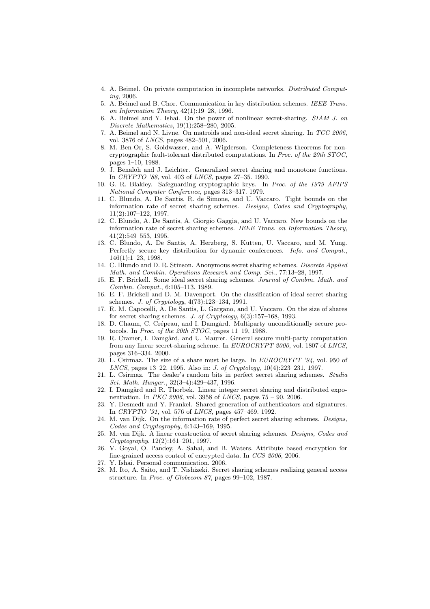- <span id="page-18-0"></span>4. A. Beimel. On private computation in incomplete networks. Distributed Computing, 2006.
- 5. A. Beimel and B. Chor. Communication in key distribution schemes. IEEE Trans. on Information Theory, 42(1):19–28, 1996.
- 6. A. Beimel and Y. Ishai. On the power of nonlinear secret-sharing. SIAM J. on Discrete Mathematics, 19(1):258–280, 2005.
- 7. A. Beimel and N. Livne. On matroids and non-ideal secret sharing. In TCC 2006, vol. 3876 of LNCS, pages 482–501, 2006.
- 8. M. Ben-Or, S. Goldwasser, and A. Wigderson. Completeness theorems for noncryptographic fault-tolerant distributed computations. In Proc. of the 20th STOC, pages 1–10, 1988.
- 9. J. Benaloh and J. Leichter. Generalized secret sharing and monotone functions. In CRYPTO '88, vol. 403 of LNCS, pages 27–35. 1990.
- 10. G. R. Blakley. Safeguarding cryptographic keys. In Proc. of the 1979 AFIPS National Computer Conference, pages 313–317. 1979.
- 11. C. Blundo, A. De Santis, R. de Simone, and U. Vaccaro. Tight bounds on the information rate of secret sharing schemes. Designs, Codes and Cryptography, 11(2):107–122, 1997.
- 12. C. Blundo, A. De Santis, A. Giorgio Gaggia, and U. Vaccaro. New bounds on the information rate of secret sharing schemes. IEEE Trans. on Information Theory, 41(2):549–553, 1995.
- 13. C. Blundo, A. De Santis, A. Herzberg, S. Kutten, U. Vaccaro, and M. Yung. Perfectly secure key distribution for dynamic conferences. Info. and Comput., 146(1):1–23, 1998.
- 14. C. Blundo and D. R. Stinson. Anonymous secret sharing schemes. Discrete Applied Math. and Combin. Operations Research and Comp. Sci., 77:13–28, 1997.
- 15. E. F. Brickell. Some ideal secret sharing schemes. Journal of Combin. Math. and Combin. Comput., 6:105–113, 1989.
- 16. E. F. Brickell and D. M. Davenport. On the classification of ideal secret sharing schemes. J. of Cryptology, 4(73):123–134, 1991.
- 17. R. M. Capocelli, A. De Santis, L. Gargano, and U. Vaccaro. On the size of shares for secret sharing schemes. J. of Cryptology, 6(3):157–168, 1993.
- 18. D. Chaum, C. Crépeau, and I. Damgård. Multiparty unconditionally secure protocols. In Proc. of the 20th STOC, pages 11–19, 1988.
- 19. R. Cramer, I. Damgård, and U. Maurer. General secure multi-party computation from any linear secret-sharing scheme. In EUROCRYPT 2000, vol. 1807 of LNCS, pages 316–334. 2000.
- 20. L. Csirmaz. The size of a share must be large. In  $EUROCRYPT' 34$ , vol. 950 of LNCS, pages 13–22. 1995. Also in: J. of Cryptology, 10(4):223–231, 1997.
- 21. L. Csirmaz. The dealer's random bits in perfect secret sharing schemes. Studia Sci. Math. Hungar., 32(3–4):429–437, 1996.
- 22. I. Damgård and R. Thorbek. Linear integer secret sharing and distributed exponentiation. In PKC 2006, vol. 3958 of LNCS, pages 75 – 90. 2006.
- 23. Y. Desmedt and Y. Frankel. Shared generation of authenticators and signatures. In CRYPTO '91, vol. 576 of LNCS, pages 457–469. 1992.
- 24. M. van Dijk. On the information rate of perfect secret sharing schemes. Designs, Codes and Cryptography, 6:143–169, 1995.
- 25. M. van Dijk. A linear construction of secret sharing schemes. Designs, Codes and Cryptography, 12(2):161–201, 1997.
- 26. V. Goyal, O. Pandey, A. Sahai, and B. Waters. Attribute based encryption for fine-grained access control of encrypted data. In CCS 2006, 2006.
- 27. Y. Ishai. Personal communication. 2006.
- 28. M. Ito, A. Saito, and T. Nishizeki. Secret sharing schemes realizing general access structure. In Proc. of Globecom 87, pages 99–102, 1987.